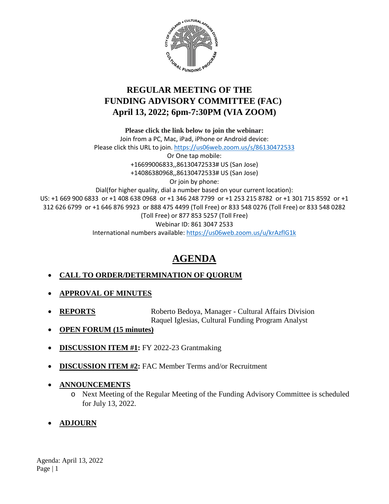

# **REGULAR MEETING OF THE FUNDING ADVISORY COMMITTEE (FAC) April 13, 2022; 6pm-7:30PM (VIA ZOOM)**

**Please click the link below to join the webinar:** Join from a PC, Mac, iPad, iPhone or Android device: Please click this URL to join.<https://us06web.zoom.us/s/86130472533> Or One tap mobile: +16699006833,,86130472533# US (San Jose) +14086380968,,86130472533# US (San Jose) Or join by phone: Dial(for higher quality, dial a number based on your current location): US: +1 669 900 6833 or +1 408 638 0968 or +1 346 248 7799 or +1 253 215 8782 or +1 301 715 8592 or +1 312 626 6799 or +1 646 876 9923 or 888 475 4499 (Toll Free) or 833 548 0276 (Toll Free) or 833 548 0282 (Toll Free) or 877 853 5257 (Toll Free) Webinar ID: 861 3047 2533 International numbers available[: https://us06web.zoom.us/u/krAzflG1k](https://us06web.zoom.us/u/krAzflG1k)

# **AGENDA**

# • **CALL TO ORDER/DETERMINATION OF QUORUM**

- **APPROVAL OF MINUTES**
- **REPORTS** Roberto Bedoya, Manager Cultural Affairs Division Raquel Iglesias, Cultural Funding Program Analyst
- **OPEN FORUM (15 minutes)**
- **DISCUSSION ITEM #1:** FY 2022-23 Grantmaking
- **DISCUSSION ITEM #2:** FAC Member Terms and/or Recruitment
- **ANNOUNCEMENTS**
	- o Next Meeting of the Regular Meeting of the Funding Advisory Committee is scheduled for July 13, 2022.
- **ADJOURN**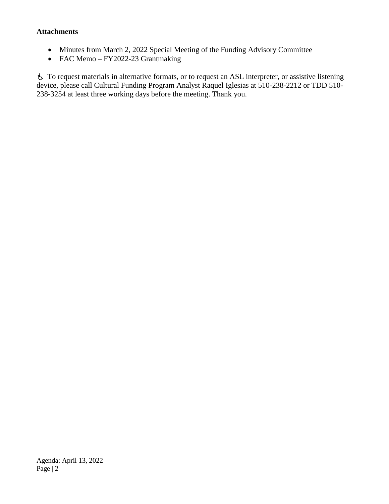#### **Attachments**

- Minutes from March 2, 2022 Special Meeting of the Funding Advisory Committee
- FAC Memo FY2022-23 Grantmaking

 To request materials in alternative formats, or to request an ASL interpreter, or assistive listening device, please call Cultural Funding Program Analyst Raquel Iglesias at 510-238-2212 or TDD 510- 238-3254 at least three working days before the meeting. Thank you.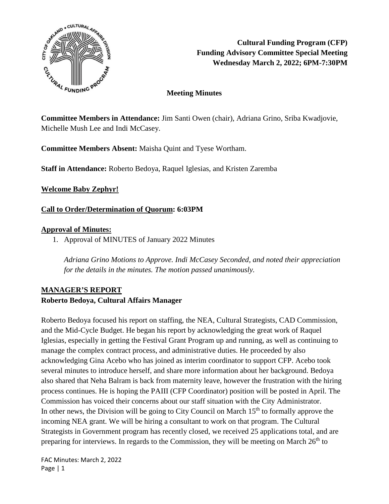

# **Meeting Minutes**

**Committee Members in Attendance:** Jim Santi Owen (chair), Adriana Grino, Sriba Kwadjovie, Michelle Mush Lee and Indi McCasey.

**Committee Members Absent:** Maisha Quint and Tyese Wortham.

**Staff in Attendance:** Roberto Bedoya, Raquel Iglesias, and Kristen Zaremba

**Welcome Baby Zephyr!** 

### **Call to Order/Determination of Quorum: 6:03PM**

### **Approval of Minutes:**

1. Approval of MINUTES of January 2022 Minutes

*Adriana Grino Motions to Approve. Indi McCasey Seconded, and noted their appreciation for the details in the minutes. The motion passed unanimously.*

# **MANAGER'S REPORT Roberto Bedoya, Cultural Affairs Manager**

Roberto Bedoya focused his report on staffing, the NEA, Cultural Strategists, CAD Commission, and the Mid-Cycle Budget. He began his report by acknowledging the great work of Raquel Iglesias, especially in getting the Festival Grant Program up and running, as well as continuing to manage the complex contract process, and administrative duties. He proceeded by also acknowledging Gina Acebo who has joined as interim coordinator to support CFP. Acebo took several minutes to introduce herself, and share more information about her background. Bedoya also shared that Neha Balram is back from maternity leave, however the frustration with the hiring process continues. He is hoping the PAIII (CFP Coordinator) position will be posted in April. The Commission has voiced their concerns about our staff situation with the City Administrator. In other news, the Division will be going to City Council on March  $15<sup>th</sup>$  to formally approve the incoming NEA grant. We will be hiring a consultant to work on that program. The Cultural Strategists in Government program has recently closed, we received 25 applications total, and are preparing for interviews. In regards to the Commission, they will be meeting on March  $26<sup>th</sup>$  to

FAC Minutes: March 2, 2022 Page | 1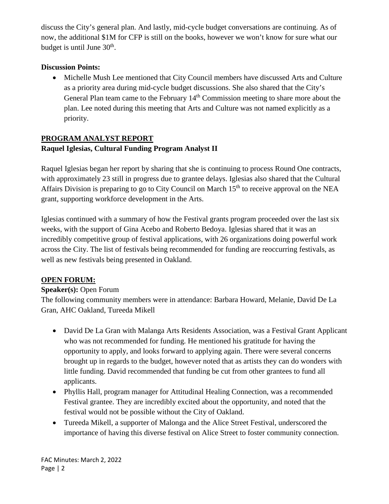discuss the City's general plan. And lastly, mid-cycle budget conversations are continuing. As of now, the additional \$1M for CFP is still on the books, however we won't know for sure what our budget is until June  $30<sup>th</sup>$ .

## **Discussion Points:**

• Michelle Mush Lee mentioned that City Council members have discussed Arts and Culture as a priority area during mid-cycle budget discussions. She also shared that the City's General Plan team came to the February 14th Commission meeting to share more about the plan. Lee noted during this meeting that Arts and Culture was not named explicitly as a priority.

# **PROGRAM ANALYST REPORT Raquel Iglesias, Cultural Funding Program Analyst II**

Raquel Iglesias began her report by sharing that she is continuing to process Round One contracts, with approximately 23 still in progress due to grantee delays. Iglesias also shared that the Cultural Affairs Division is preparing to go to City Council on March  $15<sup>th</sup>$  to receive approval on the NEA grant, supporting workforce development in the Arts.

Iglesias continued with a summary of how the Festival grants program proceeded over the last six weeks, with the support of Gina Acebo and Roberto Bedoya. Iglesias shared that it was an incredibly competitive group of festival applications, with 26 organizations doing powerful work across the City. The list of festivals being recommended for funding are reoccurring festivals, as well as new festivals being presented in Oakland.

# **OPEN FORUM:**

#### **Speaker(s):** Open Forum

The following community members were in attendance: Barbara Howard, Melanie, David De La Gran, AHC Oakland, Tureeda Mikell

- David De La Gran with Malanga Arts Residents Association, was a Festival Grant Applicant who was not recommended for funding. He mentioned his gratitude for having the opportunity to apply, and looks forward to applying again. There were several concerns brought up in regards to the budget, however noted that as artists they can do wonders with little funding. David recommended that funding be cut from other grantees to fund all applicants.
- Phyllis Hall, program manager for Attitudinal Healing Connection, was a recommended Festival grantee. They are incredibly excited about the opportunity, and noted that the festival would not be possible without the City of Oakland.
- Tureeda Mikell, a supporter of Malonga and the Alice Street Festival, underscored the importance of having this diverse festival on Alice Street to foster community connection.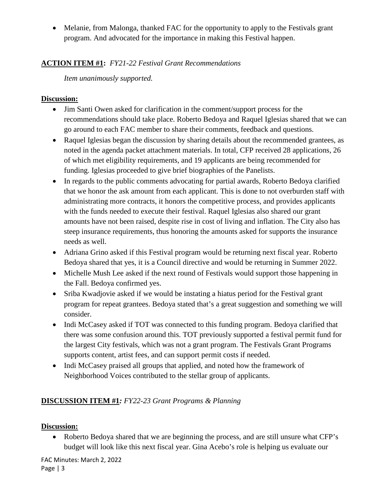• Melanie, from Malonga, thanked FAC for the opportunity to apply to the Festivals grant program. And advocated for the importance in making this Festival happen.

# **ACTION ITEM #1:** *FY21-22 Festival Grant Recommendations*

*Item unanimously supported.* 

## **Discussion:**

- Jim Santi Owen asked for clarification in the comment/support process for the recommendations should take place. Roberto Bedoya and Raquel Iglesias shared that we can go around to each FAC member to share their comments, feedback and questions.
- Raquel Iglesias began the discussion by sharing details about the recommended grantees, as noted in the agenda packet attachment materials. In total, CFP received 28 applications, 26 of which met eligibility requirements, and 19 applicants are being recommended for funding. Iglesias proceeded to give brief biographies of the Panelists.
- In regards to the public comments advocating for partial awards, Roberto Bedoya clarified that we honor the ask amount from each applicant. This is done to not overburden staff with administrating more contracts, it honors the competitive process, and provides applicants with the funds needed to execute their festival. Raquel Iglesias also shared our grant amounts have not been raised, despite rise in cost of living and inflation. The City also has steep insurance requirements, thus honoring the amounts asked for supports the insurance needs as well.
- Adriana Grino asked if this Festival program would be returning next fiscal year. Roberto Bedoya shared that yes, it is a Council directive and would be returning in Summer 2022.
- Michelle Mush Lee asked if the next round of Festivals would support those happening in the Fall. Bedoya confirmed yes.
- Sriba Kwadjovie asked if we would be instating a hiatus period for the Festival grant program for repeat grantees. Bedoya stated that's a great suggestion and something we will consider.
- Indi McCasey asked if TOT was connected to this funding program. Bedoya clarified that there was some confusion around this. TOT previously supported a festival permit fund for the largest City festivals, which was not a grant program. The Festivals Grant Programs supports content, artist fees, and can support permit costs if needed.
- Indi McCasey praised all groups that applied, and noted how the framework of Neighborhood Voices contributed to the stellar group of applicants.

# **DISCUSSION ITEM #1***: FY22-23 Grant Programs & Planning*

# **Discussion:**

• Roberto Bedoya shared that we are beginning the process, and are still unsure what CFP's budget will look like this next fiscal year. Gina Acebo's role is helping us evaluate our

FAC Minutes: March 2, 2022 Page | 3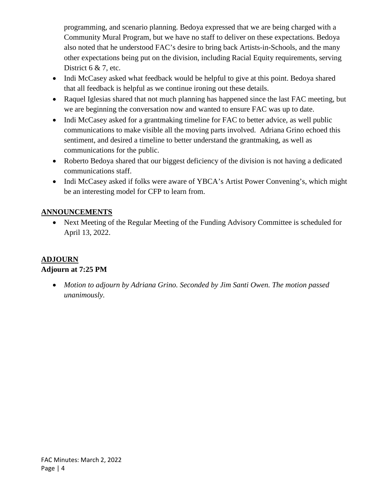programming, and scenario planning. Bedoya expressed that we are being charged with a Community Mural Program, but we have no staff to deliver on these expectations. Bedoya also noted that he understood FAC's desire to bring back Artists-in-Schools, and the many other expectations being put on the division, including Racial Equity requirements, serving District 6 & 7, etc.

- Indi McCasey asked what feedback would be helpful to give at this point. Bedoya shared that all feedback is helpful as we continue ironing out these details.
- Raquel Iglesias shared that not much planning has happened since the last FAC meeting, but we are beginning the conversation now and wanted to ensure FAC was up to date.
- Indi McCasey asked for a grantmaking timeline for FAC to better advice, as well public communications to make visible all the moving parts involved. Adriana Grino echoed this sentiment, and desired a timeline to better understand the grantmaking, as well as communications for the public.
- Roberto Bedoya shared that our biggest deficiency of the division is not having a dedicated communications staff.
- Indi McCasey asked if folks were aware of YBCA's Artist Power Convening's, which might be an interesting model for CFP to learn from.

# **ANNOUNCEMENTS**

• Next Meeting of the Regular Meeting of the Funding Advisory Committee is scheduled for April 13, 2022.

# **ADJOURN**

# **Adjourn at 7:25 PM**

• *Motion to adjourn by Adriana Grino. Seconded by Jim Santi Owen. The motion passed unanimously.*